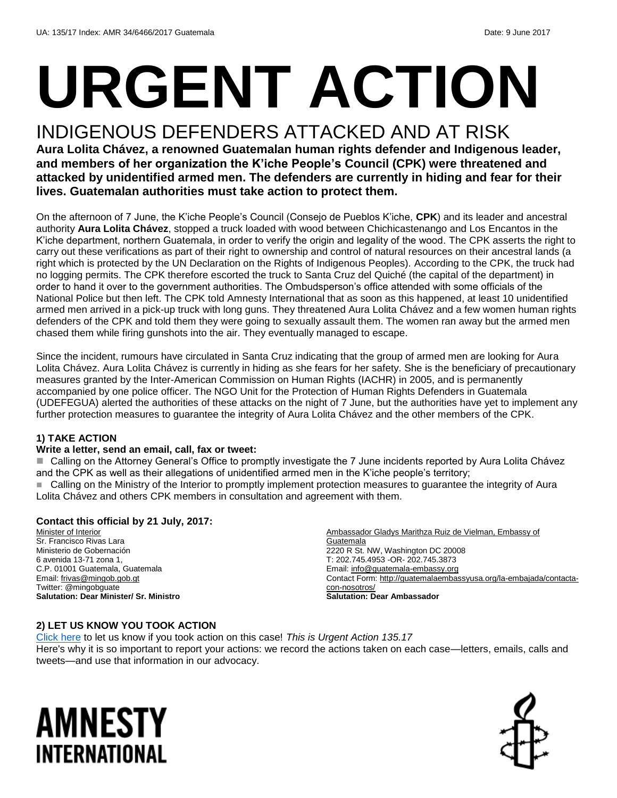# **URGENT ACTION**

## INDIGENOUS DEFENDERS ATTACKED AND AT RISK

**Aura Lolita Chávez, a renowned Guatemalan human rights defender and Indigenous leader, and members of her organization the K'iche People's Council (CPK) were threatened and attacked by unidentified armed men. The defenders are currently in hiding and fear for their lives. Guatemalan authorities must take action to protect them.** 

On the afternoon of 7 June, the K'iche People's Council (Consejo de Pueblos K'iche, **CPK**) and its leader and ancestral authority **Aura Lolita Chávez**, stopped a truck loaded with wood between Chichicastenango and Los Encantos in the K'iche department, northern Guatemala, in order to verify the origin and legality of the wood. The CPK asserts the right to carry out these verifications as part of their right to ownership and control of natural resources on their ancestral lands (a right which is protected by the UN Declaration on the Rights of Indigenous Peoples). According to the CPK, the truck had no logging permits. The CPK therefore escorted the truck to Santa Cruz del Quiché (the capital of the department) in order to hand it over to the government authorities. The Ombudsperson's office attended with some officials of the National Police but then left. The CPK told Amnesty International that as soon as this happened, at least 10 unidentified armed men arrived in a pick-up truck with long guns. They threatened Aura Lolita Chávez and a few women human rights defenders of the CPK and told them they were going to sexually assault them. The women ran away but the armed men chased them while firing gunshots into the air. They eventually managed to escape.

Since the incident, rumours have circulated in Santa Cruz indicating that the group of armed men are looking for Aura Lolita Chávez. Aura Lolita Chávez is currently in hiding as she fears for her safety. She is the beneficiary of precautionary measures granted by the Inter-American Commission on Human Rights (IACHR) in 2005, and is permanently accompanied by one police officer. The NGO Unit for the Protection of Human Rights Defenders in Guatemala (UDEFEGUA) alerted the authorities of these attacks on the night of 7 June, but the authorities have yet to implement any further protection measures to guarantee the integrity of Aura Lolita Chávez and the other members of the CPK.

#### **1) TAKE ACTION**

#### **Write a letter, send an email, call, fax or tweet:**

■ Calling on the Attorney General's Office to promptly investigate the 7 June incidents reported by Aura Lolita Chávez and the CPK as well as their allegations of unidentified armed men in the K'iche people's territory; Calling on the Ministry of the Interior to promptly implement protection measures to guarantee the integrity of Aura Lolita Chávez and others CPK members in consultation and agreement with them.

#### **Contact this official by 21 July, 2017:**

Minister of Interior Sr. Francisco Rivas Lara Ministerio de Gobernación 6 avenida 13-71 zona 1, C.P. 01001 Guatemala, Guatemala Email: [frivas@mingob.gob.gt](mailto:frivas@mingob.gob.gt) Twitter: @mingobguate **Salutation: Dear Minister/ Sr. Ministro**

Ambassador Gladys Marithza Ruiz de Vielman, Embassy of **Guatemala** 2220 R St. NW, Washington DC 20008 T: 202.745.4953 -OR- 202.745.3873 Email[: info@guatemala-embassy.org](mailto:info@guatemala-embassy.org) Contact Form: [http://guatemalaembassyusa.org/la-embajada/contacta](http://guatemalaembassyusa.org/la-embajada/contacta-con-nosotros/)[con-nosotros/](http://guatemalaembassyusa.org/la-embajada/contacta-con-nosotros/) **Salutation: Dear Ambassador**

#### **2) LET US KNOW YOU TOOK ACTION**

[Click here](https://docs.google.com/forms/d/e/1FAIpQLSf3RUspces4lA9Gt7Fp9GiAcojCs6fnfFOTCLli3Su6c3S8ew/viewform) to let us know if you took action on this case! *This is Urgent Action 135.17* Here's why it is so important to report your actions: we record the actions taken on each case—letters, emails, calls and tweets—and use that information in our advocacy.

## AMNESTY INTERNATIONAL